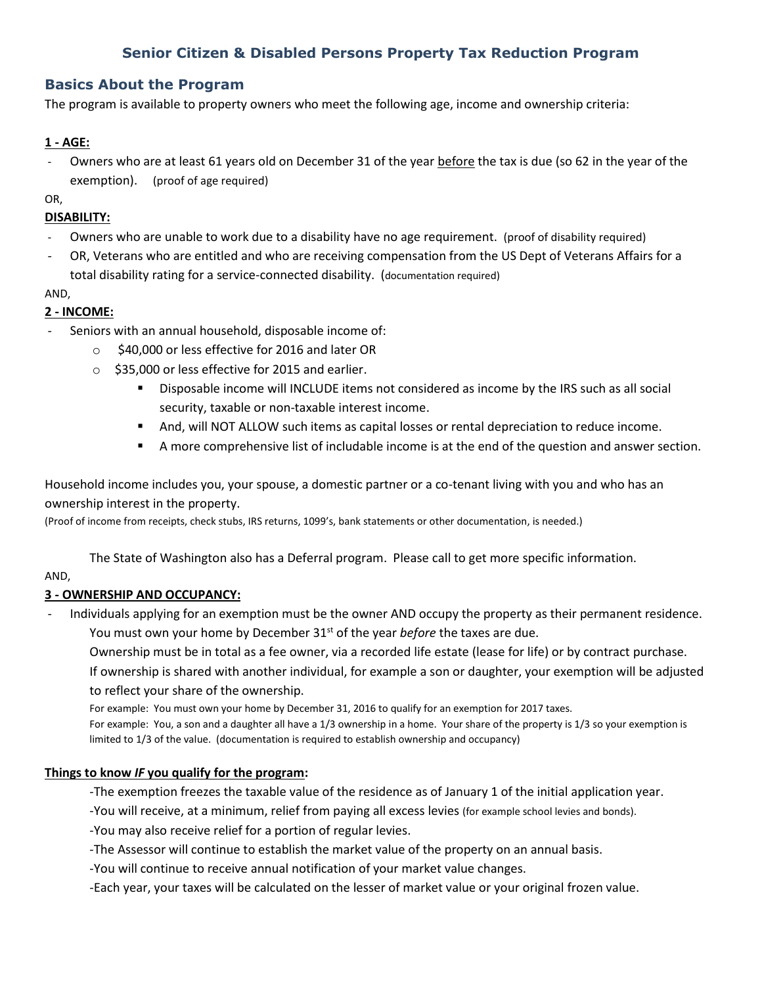# **Senior Citizen & Disabled Persons Property Tax Reduction Program**

# **Basics About the Program**

The program is available to property owners who meet the following age, income and ownership criteria:

### **1 - AGE:**

Owners who are at least 61 years old on December 31 of the year before the tax is due (so 62 in the year of the exemption). (proof of age required)

OR,

### **DISABILITY:**

- Owners who are unable to work due to a disability have no age requirement. (proof of disability required)
- OR, Veterans who are entitled and who are receiving compensation from the US Dept of Veterans Affairs for a total disability rating for a service-connected disability. (documentation required)

#### AND,

# **2 - INCOME:**

- Seniors with an annual household, disposable income of:
	- o \$40,000 or less effective for 2016 and later OR
	- o \$35,000 or less effective for 2015 and earlier.
		- **Disposable income will INCLUDE items not considered as income by the IRS such as all social** security, taxable or non-taxable interest income.
		- And, will NOT ALLOW such items as capital losses or rental depreciation to reduce income.
		- A more comprehensive list of includable income is at the end of the question and answer section.

Household income includes you, your spouse, a domestic partner or a co-tenant living with you and who has an ownership interest in the property.

(Proof of income from receipts, check stubs, IRS returns, 1099's, bank statements or other documentation, is needed.)

The State of Washington also has a Deferral program. Please call to get more specific information.

# AND,

# **3 - OWNERSHIP AND OCCUPANCY:**

- Individuals applying for an exemption must be the owner AND occupy the property as their permanent residence. You must own your home by December 31<sup>st</sup> of the year *before* the taxes are due.

Ownership must be in total as a fee owner, via a recorded life estate (lease for life) or by contract purchase. If ownership is shared with another individual, for example a son or daughter, your exemption will be adjusted to reflect your share of the ownership.

For example: You must own your home by December 31, 2016 to qualify for an exemption for 2017 taxes.

For example: You, a son and a daughter all have a 1/3 ownership in a home. Your share of the property is 1/3 so your exemption is limited to 1/3 of the value. (documentation is required to establish ownership and occupancy)

# **Things to know** *IF* **you qualify for the program:**

-The exemption freezes the taxable value of the residence as of January 1 of the initial application year.

-You will receive, at a minimum, relief from paying all excess levies (for example school levies and bonds).

-You may also receive relief for a portion of regular levies.

-The Assessor will continue to establish the market value of the property on an annual basis.

-You will continue to receive annual notification of your market value changes.

-Each year, your taxes will be calculated on the lesser of market value or your original frozen value.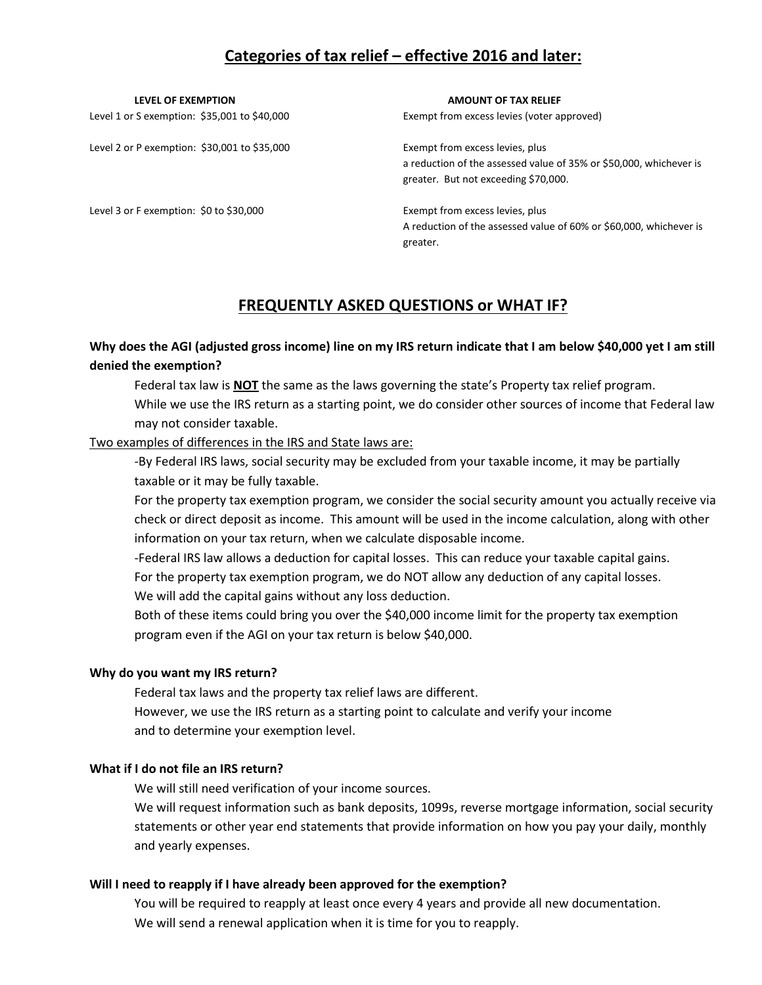# **Categories of tax relief – effective 2016 and later:**

Level 2 or P exemption: \$30,001 to \$35,000 Exempt from excess levies, plus

Level 3 or F exemption: \$0 to \$30,000 Exempt from excess levies, plus

**LEVEL OF EXEMPTION AMOUNT OF TAX RELIEF**

Level 1 or S exemption: \$35,001 to \$40,000 Exempt from excess levies (voter approved)

a reduction of the assessed value of 35% or \$50,000, whichever is greater. But not exceeding \$70,000.

A reduction of the assessed value of 60% or \$60,000, whichever is greater.

# **FREQUENTLY ASKED QUESTIONS or WHAT IF?**

# **Why does the AGI (adjusted gross income) line on my IRS return indicate that I am below \$40,000 yet I am still denied the exemption?**

Federal tax law is **NOT** the same as the laws governing the state's Property tax relief program. While we use the IRS return as a starting point, we do consider other sources of income that Federal law may not consider taxable.

#### Two examples of differences in the IRS and State laws are:

-By Federal IRS laws, social security may be excluded from your taxable income, it may be partially taxable or it may be fully taxable.

For the property tax exemption program, we consider the social security amount you actually receive via check or direct deposit as income. This amount will be used in the income calculation, along with other information on your tax return, when we calculate disposable income.

-Federal IRS law allows a deduction for capital losses. This can reduce your taxable capital gains. For the property tax exemption program, we do NOT allow any deduction of any capital losses.

We will add the capital gains without any loss deduction.

Both of these items could bring you over the \$40,000 income limit for the property tax exemption program even if the AGI on your tax return is below \$40,000.

#### **Why do you want my IRS return?**

Federal tax laws and the property tax relief laws are different. However, we use the IRS return as a starting point to calculate and verify your income and to determine your exemption level.

# **What if I do not file an IRS return?**

We will still need verification of your income sources.

We will request information such as bank deposits, 1099s, reverse mortgage information, social security statements or other year end statements that provide information on how you pay your daily, monthly and yearly expenses.

#### **Will I need to reapply if I have already been approved for the exemption?**

You will be required to reapply at least once every 4 years and provide all new documentation. We will send a renewal application when it is time for you to reapply.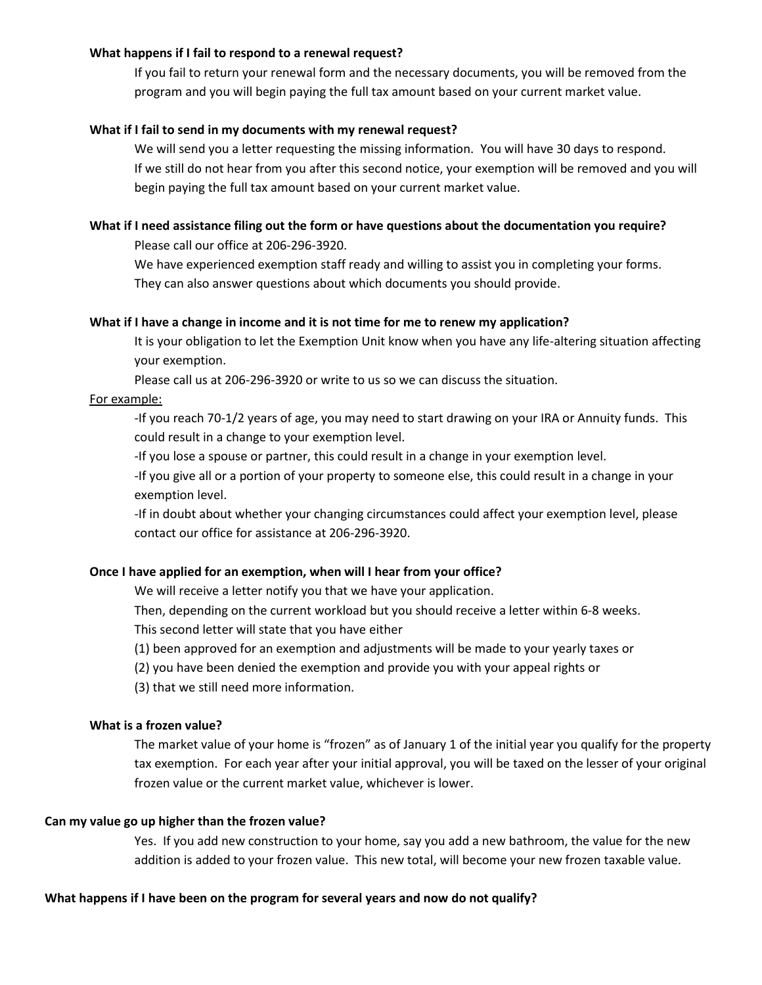#### **What happens if I fail to respond to a renewal request?**

If you fail to return your renewal form and the necessary documents, you will be removed from the program and you will begin paying the full tax amount based on your current market value.

#### **What if I fail to send in my documents with my renewal request?**

We will send you a letter requesting the missing information. You will have 30 days to respond. If we still do not hear from you after this second notice, your exemption will be removed and you will begin paying the full tax amount based on your current market value.

#### **What if I need assistance filing out the form or have questions about the documentation you require?**

Please call our office at 206-296-3920.

We have experienced exemption staff ready and willing to assist you in completing your forms. They can also answer questions about which documents you should provide.

#### **What if I have a change in income and it is not time for me to renew my application?**

It is your obligation to let the Exemption Unit know when you have any life-altering situation affecting your exemption.

Please call us at 206-296-3920 or write to us so we can discuss the situation.

#### For example:

-If you reach 70-1/2 years of age, you may need to start drawing on your IRA or Annuity funds. This could result in a change to your exemption level.

-If you lose a spouse or partner, this could result in a change in your exemption level.

-If you give all or a portion of your property to someone else, this could result in a change in your exemption level.

-If in doubt about whether your changing circumstances could affect your exemption level, please contact our office for assistance at 206-296-3920.

#### **Once I have applied for an exemption, when will I hear from your office?**

We will receive a letter notify you that we have your application.

Then, depending on the current workload but you should receive a letter within 6-8 weeks.

This second letter will state that you have either

(1) been approved for an exemption and adjustments will be made to your yearly taxes or

- (2) you have been denied the exemption and provide you with your appeal rights or
- (3) that we still need more information.

#### **What is a frozen value?**

The market value of your home is "frozen" as of January 1 of the initial year you qualify for the property tax exemption. For each year after your initial approval, you will be taxed on the lesser of your original frozen value or the current market value, whichever is lower.

#### **Can my value go up higher than the frozen value?**

Yes. If you add new construction to your home, say you add a new bathroom, the value for the new addition is added to your frozen value. This new total, will become your new frozen taxable value.

#### **What happens if I have been on the program for several years and now do not qualify?**